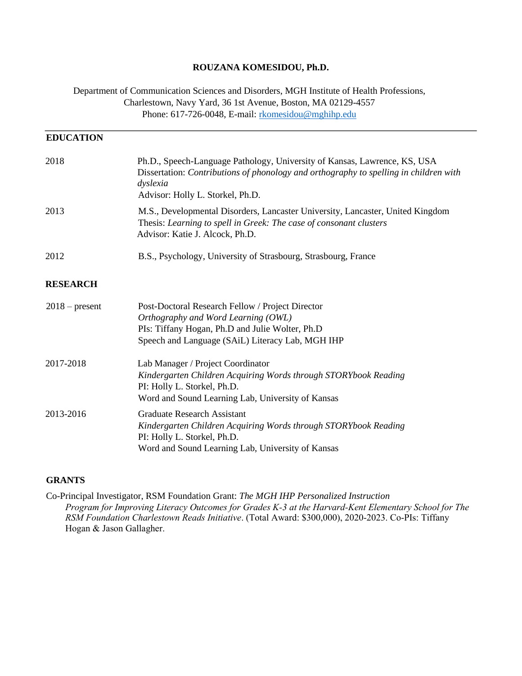### **ROUZANA KOMESIDOU, Ph.D.**

Department of Communication Sciences and Disorders, MGH Institute of Health Professions, Charlestown, Navy Yard, 36 1st Avenue, Boston, MA 02129-4557 Phone: 617-726-0048, E-mail: rkomesidou@mghihp.edu

| <b>EDUCATION</b> |                                                                                                                                                                                                                    |
|------------------|--------------------------------------------------------------------------------------------------------------------------------------------------------------------------------------------------------------------|
| 2018             | Ph.D., Speech-Language Pathology, University of Kansas, Lawrence, KS, USA<br>Dissertation: Contributions of phonology and orthography to spelling in children with<br>dyslexia<br>Advisor: Holly L. Storkel, Ph.D. |
| 2013             | M.S., Developmental Disorders, Lancaster University, Lancaster, United Kingdom<br>Thesis: Learning to spell in Greek: The case of consonant clusters<br>Advisor: Katie J. Alcock, Ph.D.                            |
| 2012             | B.S., Psychology, University of Strasbourg, Strasbourg, France                                                                                                                                                     |
| <b>RESEARCH</b>  |                                                                                                                                                                                                                    |
| $2018$ – present | Post-Doctoral Research Fellow / Project Director<br>Orthography and Word Learning (OWL)<br>PIs: Tiffany Hogan, Ph.D and Julie Wolter, Ph.D<br>Speech and Language (SAiL) Literacy Lab, MGH IHP                     |
| 2017-2018        | Lab Manager / Project Coordinator<br>Kindergarten Children Acquiring Words through STORYbook Reading<br>PI: Holly L. Storkel, Ph.D.<br>Word and Sound Learning Lab, University of Kansas                           |
| 2013-2016        | <b>Graduate Research Assistant</b><br>Kindergarten Children Acquiring Words through STORYbook Reading<br>PI: Holly L. Storkel, Ph.D.<br>Word and Sound Learning Lab, University of Kansas                          |

#### **GRANTS**

Co-Principal Investigator, RSM Foundation Grant: *The MGH IHP Personalized Instruction Program for Improving Literacy Outcomes for Grades K-3 at the Harvard-Kent Elementary School for The RSM Foundation Charlestown Reads Initiative*. (Total Award: \$300,000), 2020-2023. Co-PIs: Tiffany Hogan & Jason Gallagher.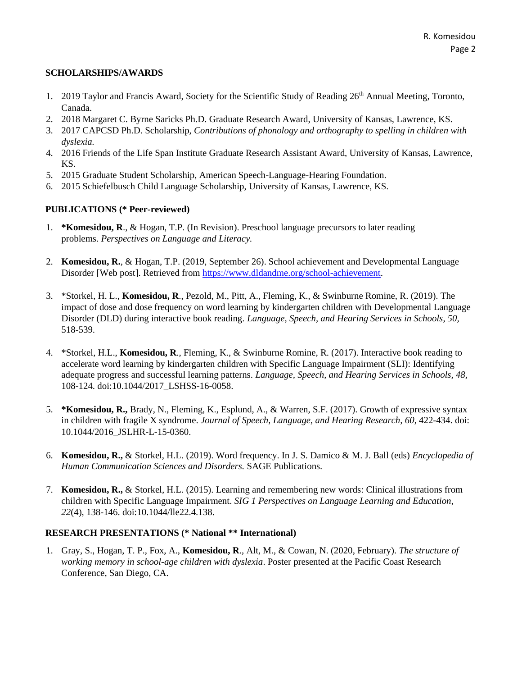### **SCHOLARSHIPS/AWARDS**

- 1. 2019 Taylor and Francis Award, Society for the Scientific Study of Reading 26<sup>th</sup> Annual Meeting, Toronto, Canada.
- 2. 2018 Margaret C. Byrne Saricks Ph.D. Graduate Research Award, University of Kansas, Lawrence, KS.
- 3. 2017 CAPCSD Ph.D. Scholarship, *Contributions of phonology and orthography to spelling in children with dyslexia.*
- 4. 2016 Friends of the Life Span Institute Graduate Research Assistant Award, University of Kansas, Lawrence, KS.
- 5. 2015 Graduate Student Scholarship, American Speech-Language-Hearing Foundation.
- 6. 2015 Schiefelbusch Child Language Scholarship, University of Kansas, Lawrence, KS.

# **PUBLICATIONS (\* Peer-reviewed)**

- 1. **\*Komesidou, R**., & Hogan, T.P. (In Revision). Preschool language precursors to later reading problems. *Perspectives on Language and Literacy.*
- 2. **Komesidou, R.**, & Hogan, T.P. (2019, September 26). School achievement and Developmental Language Disorder [Web post]. Retrieved from [https://www.dldandme.org/school-achievement.](https://www.dldandme.org/school-achievement)
- 3. \*Storkel, H. L., **Komesidou, R**., Pezold, M., Pitt, A., Fleming, K., & Swinburne Romine, R. (2019). The impact of dose and dose frequency on word learning by kindergarten children with Developmental Language Disorder (DLD) during interactive book reading. *Language, Speech, and Hearing Services in Schools*, *50,*  518-539.
- 4. \*Storkel, H.L., **Komesidou, R**., Fleming, K., & Swinburne Romine, R. (2017). Interactive book reading to accelerate word learning by kindergarten children with Specific Language Impairment (SLI): Identifying adequate progress and successful learning patterns. *Language, Speech, and Hearing Services in Schools, 48,*  108-124. doi:10.1044/2017\_LSHSS-16-0058.
- 5. **\*Komesidou, R.,** Brady, N., Fleming, K., Esplund, A., & Warren, S.F. (2017). Growth of expressive syntax in children with fragile X syndrome. *Journal of Speech, Language, and Hearing Research, 60, 422-434.* doi: 10.1044/2016\_JSLHR-L-15-0360.
- 6. **Komesidou, R.,** & Storkel, H.L. (2019). Word frequency. In J. S. Damico & M. J. Ball (eds) *Encyclopedia of Human Communication Sciences and Disorders.* SAGE Publications.
- 7. **Komesidou, R.,** & Storkel, H.L. (2015). Learning and remembering new words: Clinical illustrations from children with Specific Language Impairment. *SIG 1 Perspectives on Language Learning and Education, 22*(4), 138-146. doi:10.1044/lle22.4.138.

### **RESEARCH PRESENTATIONS (\* National \*\* International)**

1. Gray, S., Hogan, T. P., Fox, A., **Komesidou, R**., Alt, M., & Cowan, N. (2020, February). *The structure of working memory in school-age children with dyslexia*. Poster presented at the Pacific Coast Research Conference, San Diego, CA.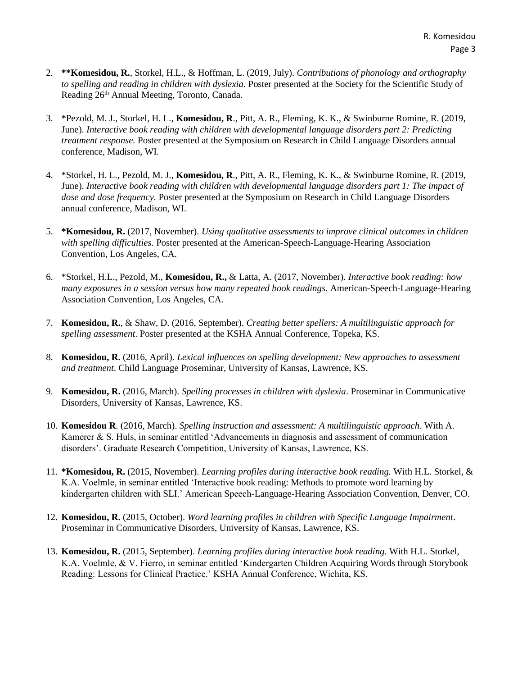- 2. **\*\*Komesidou, R.**, Storkel, H.L., & Hoffman, L. (2019, July). *Contributions of phonology and orthography to spelling and reading in children with dyslexia*. Poster presented at the Society for the Scientific Study of Reading 26th Annual Meeting, Toronto, Canada.
- 3. \*Pezold, M. J., Storkel, H. L., **Komesidou, R**., Pitt, A. R., Fleming, K. K., & Swinburne Romine, R. (2019, June). *Interactive book reading with children with developmental language disorders part 2: Predicting treatment response.* Poster presented at the Symposium on Research in Child Language Disorders annual conference, Madison, WI.
- 4. \*Storkel, H. L., Pezold, M. J., **Komesidou, R**., Pitt, A. R., Fleming, K. K., & Swinburne Romine, R. (2019, June). *Interactive book reading with children with developmental language disorders part 1: The impact of dose and dose frequency.* Poster presented at the Symposium on Research in Child Language Disorders annual conference, Madison, WI.
- 5. **\*Komesidou, R.** (2017, November). *Using qualitative assessments to improve clinical outcomes in children with spelling difficulties.* Poster presented at the American-Speech-Language-Hearing Association Convention, Los Angeles, CA.
- 6. \*Storkel, H.L., Pezold, M., **Komesidou, R.,** & Latta, A. (2017, November). *Interactive book reading: how many exposures in a session versus how many repeated book readings.* American-Speech-Language-Hearing Association Convention, Los Angeles, CA.
- 7. **Komesidou, R.**, & Shaw, D. (2016, September). *Creating better spellers: A multilinguistic approach for spelling assessment*. Poster presented at the KSHA Annual Conference, Topeka, KS.
- 8. **Komesidou, R.** (2016, April). *Lexical influences on spelling development: New approaches to assessment and treatment*. Child Language Proseminar, University of Kansas, Lawrence, KS.
- 9. **Komesidou, R.** (2016, March). *Spelling processes in children with dyslexia*. Proseminar in Communicative Disorders, University of Kansas, Lawrence, KS.
- 10. **Komesidou R**. (2016, March). *Spelling instruction and assessment: A multilinguistic approach*. With A. Kamerer & S. Huls, in seminar entitled 'Advancements in diagnosis and assessment of communication disorders'. Graduate Research Competition, University of Kansas, Lawrence, KS.
- 11. **\*Komesidou, R.** (2015, November). *Learning profiles during interactive book reading.* With H.L. Storkel, & K.A. Voelmle, in seminar entitled 'Interactive book reading: Methods to promote word learning by kindergarten children with SLI.' American Speech-Language-Hearing Association Convention, Denver, CO.
- 12. **Komesidou, R.** (2015, October). *Word learning profiles in children with Specific Language Impairment*. Proseminar in Communicative Disorders, University of Kansas, Lawrence, KS.
- 13. **Komesidou, R.** (2015, September). *Learning profiles during interactive book reading.* With H.L. Storkel, K.A. Voelmle, & V. Fierro, in seminar entitled 'Kindergarten Children Acquiring Words through Storybook Reading: Lessons for Clinical Practice.' KSHA Annual Conference, Wichita, KS.